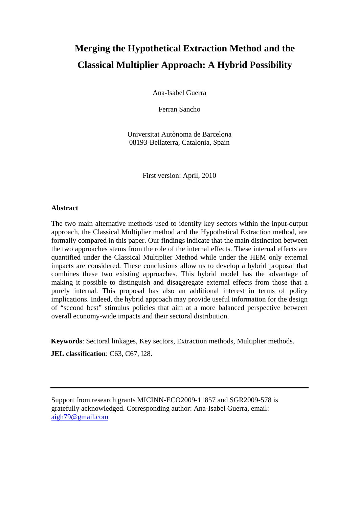# **Merging the Hypothetical Extraction Method and the Classical Multiplier Approach: A Hybrid Possibility**

Ana-Isabel Guerra

Ferran Sancho

Universitat Autònoma de Barcelona 08193-Bellaterra, Catalonia, Spain

First version: April, 2010

# **Abstract**

The two main alternative methods used to identify key sectors within the input-output approach, the Classical Multiplier method and the Hypothetical Extraction method, are formally compared in this paper. Our findings indicate that the main distinction between the two approaches stems from the role of the internal effects. These internal effects are quantified under the Classical Multiplier Method while under the HEM only external impacts are considered. These conclusions allow us to develop a hybrid proposal that combines these two existing approaches. This hybrid model has the advantage of making it possible to distinguish and disaggregate external effects from those that a purely internal. This proposal has also an additional interest in terms of policy implications. Indeed, the hybrid approach may provide useful information for the design of "second best" stimulus policies that aim at a more balanced perspective between overall economy-wide impacts and their sectoral distribution.

**Keywords**: Sectoral linkages, Key sectors, Extraction methods, Multiplier methods.

**JEL classification**: C63, C67, I28.

Support from research grants MICINN-ECO2009-11857 and SGR2009-578 is gratefully acknowledged. Corresponding author: Ana-Isabel Guerra, email: aigh79@gmail.com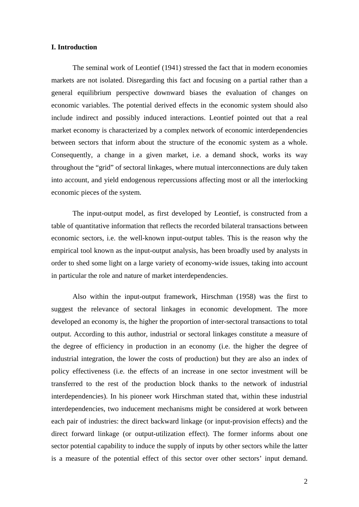#### **I. Introduction**

The seminal work of Leontief (1941) stressed the fact that in modern economies markets are not isolated. Disregarding this fact and focusing on a partial rather than a general equilibrium perspective downward biases the evaluation of changes on economic variables. The potential derived effects in the economic system should also include indirect and possibly induced interactions. Leontief pointed out that a real market economy is characterized by a complex network of economic interdependencies between sectors that inform about the structure of the economic system as a whole. Consequently, a change in a given market, i.e. a demand shock, works its way throughout the "grid" of sectoral linkages, where mutual interconnections are duly taken into account, and yield endogenous repercussions affecting most or all the interlocking economic pieces of the system.

The input-output model, as first developed by Leontief, is constructed from a table of quantitative information that reflects the recorded bilateral transactions between economic sectors, i.e. the well-known input-output tables. This is the reason why the empirical tool known as the input-output analysis, has been broadly used by analysts in order to shed some light on a large variety of economy-wide issues, taking into account in particular the role and nature of market interdependencies.

Also within the input-output framework, Hirschman (1958) was the first to suggest the relevance of sectoral linkages in economic development. The more developed an economy is, the higher the proportion of inter-sectoral transactions to total output. According to this author, industrial or sectoral linkages constitute a measure of the degree of efficiency in production in an economy (i.e. the higher the degree of industrial integration, the lower the costs of production) but they are also an index of policy effectiveness (i.e. the effects of an increase in one sector investment will be transferred to the rest of the production block thanks to the network of industrial interdependencies). In his pioneer work Hirschman stated that, within these industrial interdependencies, two inducement mechanisms might be considered at work between each pair of industries: the direct backward linkage (or input-provision effects) and the direct forward linkage (or output-utilization effect). The former informs about one sector potential capability to induce the supply of inputs by other sectors while the latter is a measure of the potential effect of this sector over other sectors' input demand.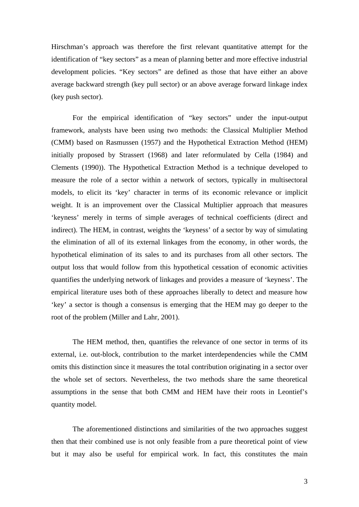Hirschman's approach was therefore the first relevant quantitative attempt for the identification of "key sectors" as a mean of planning better and more effective industrial development policies. "Key sectors" are defined as those that have either an above average backward strength (key pull sector) or an above average forward linkage index (key push sector).

For the empirical identification of "key sectors" under the input-output framework, analysts have been using two methods: the Classical Multiplier Method (CMM) based on Rasmussen (1957) and the Hypothetical Extraction Method (HEM) initially proposed by Strassert (1968) and later reformulated by Cella (1984) and Clements (1990)). The Hypothetical Extraction Method is a technique developed to measure the role of a sector within a network of sectors, typically in multisectoral models, to elicit its 'key' character in terms of its economic relevance or implicit weight. It is an improvement over the Classical Multiplier approach that measures 'keyness' merely in terms of simple averages of technical coefficients (direct and indirect). The HEM, in contrast, weights the 'keyness' of a sector by way of simulating the elimination of all of its external linkages from the economy, in other words, the hypothetical elimination of its sales to and its purchases from all other sectors. The output loss that would follow from this hypothetical cessation of economic activities quantifies the underlying network of linkages and provides a measure of 'keyness'. The empirical literature uses both of these approaches liberally to detect and measure how 'key' a sector is though a consensus is emerging that the HEM may go deeper to the root of the problem (Miller and Lahr, 2001).

The HEM method, then, quantifies the relevance of one sector in terms of its external, i.e. out-block, contribution to the market interdependencies while the CMM omits this distinction since it measures the total contribution originating in a sector over the whole set of sectors. Nevertheless, the two methods share the same theoretical assumptions in the sense that both CMM and HEM have their roots in Leontief's quantity model.

The aforementioned distinctions and similarities of the two approaches suggest then that their combined use is not only feasible from a pure theoretical point of view but it may also be useful for empirical work. In fact, this constitutes the main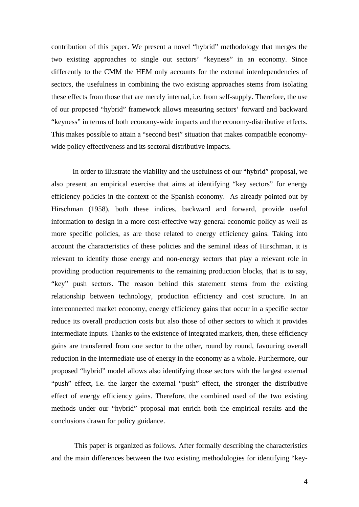contribution of this paper. We present a novel "hybrid" methodology that merges the two existing approaches to single out sectors' "keyness" in an economy. Since differently to the CMM the HEM only accounts for the external interdependencies of sectors, the usefulness in combining the two existing approaches stems from isolating these effects from those that are merely internal, i.e. from self-supply. Therefore, the use of our proposed "hybrid" framework allows measuring sectors' forward and backward "keyness" in terms of both economy-wide impacts and the economy-distributive effects. This makes possible to attain a "second best" situation that makes compatible economywide policy effectiveness and its sectoral distributive impacts.

In order to illustrate the viability and the usefulness of our "hybrid" proposal, we also present an empirical exercise that aims at identifying "key sectors" for energy efficiency policies in the context of the Spanish economy. As already pointed out by Hirschman (1958), both these indices, backward and forward, provide useful information to design in a more cost-effective way general economic policy as well as more specific policies, as are those related to energy efficiency gains. Taking into account the characteristics of these policies and the seminal ideas of Hirschman, it is relevant to identify those energy and non-energy sectors that play a relevant role in providing production requirements to the remaining production blocks, that is to say, "key" push sectors. The reason behind this statement stems from the existing relationship between technology, production efficiency and cost structure. In an interconnected market economy, energy efficiency gains that occur in a specific sector reduce its overall production costs but also those of other sectors to which it provides intermediate inputs. Thanks to the existence of integrated markets, then, these efficiency gains are transferred from one sector to the other, round by round, favouring overall reduction in the intermediate use of energy in the economy as a whole. Furthermore, our proposed "hybrid" model allows also identifying those sectors with the largest external "push" effect, i.e. the larger the external "push" effect, the stronger the distributive effect of energy efficiency gains. Therefore, the combined used of the two existing methods under our "hybrid" proposal mat enrich both the empirical results and the conclusions drawn for policy guidance.

 This paper is organized as follows. After formally describing the characteristics and the main differences between the two existing methodologies for identifying "key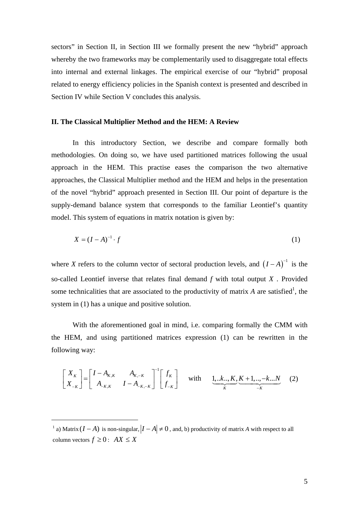sectors" in Section II, in Section III we formally present the new "hybrid" approach whereby the two frameworks may be complementarily used to disaggregate total effects into internal and external linkages. The empirical exercise of our "hybrid" proposal related to energy efficiency policies in the Spanish context is presented and described in Section IV while Section V concludes this analysis.

#### **II. The Classical Multiplier Method and the HEM: A Review**

In this introductory Section, we describe and compare formally both methodologies. On doing so, we have used partitioned matrices following the usual approach in the HEM. This practise eases the comparison the two alternative approaches, the Classical Multiplier method and the HEM and helps in the presentation of the novel "hybrid" approach presented in Section III. Our point of departure is the supply-demand balance system that corresponds to the familiar Leontief's quantity model. This system of equations in matrix notation is given by:

$$
X = (I - A)^{-1} \cdot f \tag{1}
$$

where *X* refers to the column vector of sectoral production levels, and  $(I - A)^{-1}$  is the so-called Leontief inverse that relates final demand *f* with total output *X* . Provided some technicalities that are associated to the productivity of matrix  $A$  are satisfied<sup>1</sup>, the system in (1) has a unique and positive solution.

With the aforementioned goal in mind, i.e. comparing formally the CMM with the HEM, and using partitioned matrices expression (1) can be rewritten in the following way:

$$
\begin{bmatrix} X_K \\ X_{-K} \end{bmatrix} = \begin{bmatrix} I - A_{K,K} & A_{K,-K} \\ A_{-K,K} & I - A_{-K,-K} \end{bmatrix}^{-1} \begin{bmatrix} f_K \\ f_{-K} \end{bmatrix} \text{ with } \underbrace{1,..k,..,K}_{K} \underbrace{K+1,..,-k...N}_{-K} \quad (2)
$$

<sup>&</sup>lt;sup>1</sup> a) Matrix  $(I - A)$  is non-singular,  $|I - A| \neq 0$ , and, b) productivity of matrix *A* with respect to all column vectors  $f \ge 0$ :  $AX \le X$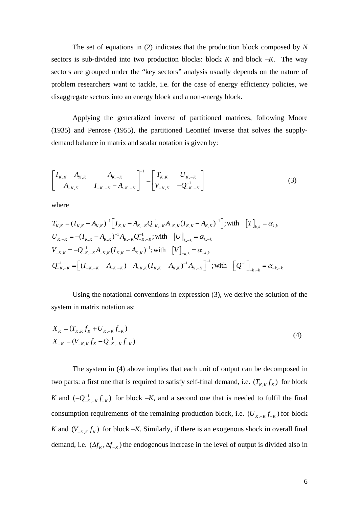The set of equations in (2) indicates that the production block composed by *N* sectors is sub-divided into two production blocks: block *K* and block *–K*. The way sectors are grouped under the "key sectors" analysis usually depends on the nature of problem researchers want to tackle, i.e. for the case of energy efficiency policies, we disaggregate sectors into an energy block and a non-energy block.

Applying the generalized inverse of partitioned matrices, following Moore (1935) and Penrose (1955), the partitioned Leontief inverse that solves the supplydemand balance in matrix and scalar notation is given by:

$$
\begin{bmatrix} I_{K,K} - A_{K,K} & A_{K,-K} \\ A_{-K,K} & I_{-K,-K} - A_{-K,-K} \end{bmatrix}^{-1} = \begin{bmatrix} T_{K,K} & U_{K,-K} \\ V_{-K,K} & -Q_{-K,-K}^{-1} \end{bmatrix}
$$
(3)

where

$$
T_{K,K} = (I_{K,K} - A_{K,K})^{-1} \Big[ I_{K,K} - A_{K,-K} Q_{-K,-K}^{-1} A_{-K,K} (I_{K,K} - A_{K,K})^{-1} \Big]; \text{with} \quad \Big[ T \Big]_{k,k} = \alpha_{k,k}
$$
  
\n
$$
U_{K,-K} = -(I_{K,K} - A_{K,K})^{-1} A_{K,-K} Q_{-K,-K}^{-1}; \text{with} \quad \Big[ U \Big]_{k,-k} = \alpha_{k,-k}
$$
  
\n
$$
V_{-K,K} = -Q_{-K,-K}^{-1} A_{-K,K} (I_{K,K} - A_{K,K})^{-1}; \text{with} \quad \Big[ V \Big]_{-k,k} = \alpha_{-k,k}
$$
  
\n
$$
Q_{-K,-K}^{-1} = \Big[ (I_{-K,-K} - A_{-K,-K}) - A_{-K,K} (I_{K,K} - A_{K,K})^{-1} A_{K,-K} \Big]^{-1}; \text{with} \quad \Big[ Q^{-1} \Big]_{-k,-k} = \alpha_{-k,-k}
$$

Using the notational conventions in expression (3), we derive the solution of the system in matrix notation as:

$$
X_{K} = (T_{K,K} f_{K} + U_{K,-K} f_{-K})
$$
  
\n
$$
X_{-K} = (V_{-K,K} f_{K} - Q_{-K,-K}^{-1} f_{-K})
$$
\n(4)

The system in (4) above implies that each unit of output can be decomposed in two parts: a first one that is required to satisfy self-final demand, i.e.  $(T_{K,K} f_K)$  for block *K* and  $(-Q_{-K,-K}^{-1}f_{-K})$  for block  $-K$ , and a second one that is needed to fulfil the final consumption requirements of the remaining production block, i.e.  $(U_{K, -K} f_{-K})$  for block *K* and  $(V_{-K,K} f_K)$  for block  $-K$ . Similarly, if there is an exogenous shock in overall final demand, i.e.  $(\Delta f_K, \Delta f_{-K})$  the endogenous increase in the level of output is divided also in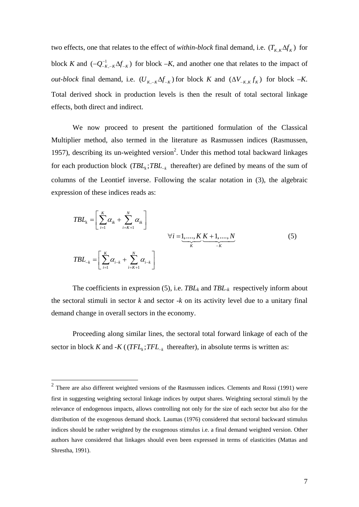two effects, one that relates to the effect of *within-block* final demand, i.e.  $(T_{K,K}\Delta f_K)$  for block *K* and  $(-Q_{-K,-K}^{-1}\Delta f_{-K})$  for block  $-K$ , and another one that relates to the impact of *out-block* final demand, i.e.  $(U_{K-K} \Delta f_{-K})$  for block *K* and  $(\Delta V_{-K,K} f_K)$  for block  $-K$ . Total derived shock in production levels is then the result of total sectoral linkage effects, both direct and indirect.

We now proceed to present the partitioned formulation of the Classical Multiplier method, also termed in the literature as Rasmussen indices (Rasmussen, 1957), describing its un-weighted version<sup>2</sup>. Under this method total backward linkages for each production block  $(TBL_k; TBL_{-k}$  thereafter) are defined by means of the sum of columns of the Leontief inverse. Following the scalar notation in (3), the algebraic expression of these indices reads as:

$$
TBL_{k} = \left[\sum_{i=1}^{K} \alpha_{ik} + \sum_{i=K+1}^{N} \alpha_{ik}\right]
$$
  

$$
\forall i = 1, ..., K \underbrace{K+1, ..., N}_{K}
$$
  

$$
TBL_{-k} = \left[\sum_{i=1}^{K} \alpha_{i-k} + \sum_{i=K+1}^{N} \alpha_{i-k}\right]
$$
  
(5)

The coefficients in expression  $(5)$ , i.e. *TBL<sub>k</sub>* and *TBL<sub>k</sub>* respectively inform about the sectoral stimuli in sector *k* and sector *-k* on its activity level due to a unitary final demand change in overall sectors in the economy.

Proceeding along similar lines, the sectoral total forward linkage of each of the sector in block *K* and  $-K$  (( $TFL_k$ ;  $TFL_{-k}$  thereafter), in absolute terms is written as:

 $2$  There are also different weighted versions of the Rasmussen indices. Clements and Rossi (1991) were first in suggesting weighting sectoral linkage indices by output shares. Weighting sectoral stimuli by the relevance of endogenous impacts, allows controlling not only for the size of each sector but also for the distribution of the exogenous demand shock. Laumas (1976) considered that sectoral backward stimulus indices should be rather weighted by the exogenous stimulus i.e. a final demand weighted version. Other authors have considered that linkages should even been expressed in terms of elasticities (Mattas and Shrestha, 1991).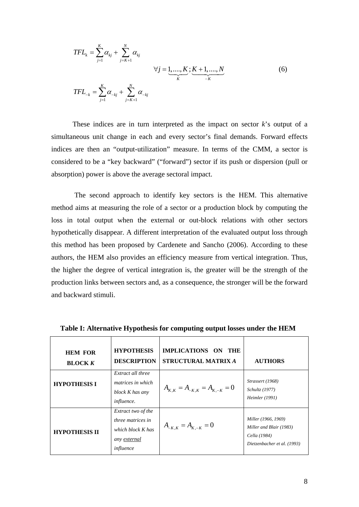$$
TFL_{k} = \sum_{j=1}^{K} \alpha_{kj} + \sum_{j=K+1}^{N} \alpha_{kj}
$$
  

$$
\forall j = \underbrace{1, ..., K}_{K}; \underbrace{K+1, ..., N}_{-K}
$$
  

$$
TFL_{-k} = \sum_{j=1}^{K} \alpha_{-kj} + \sum_{j=K+1}^{N} \alpha_{-kj}
$$
 (6)

These indices are in turn interpreted as the impact on sector *k*'s output of a simultaneous unit change in each and every sector's final demands. Forward effects indices are then an "output-utilization" measure. In terms of the CMM, a sector is considered to be a "key backward" ("forward") sector if its push or dispersion (pull or absorption) power is above the average sectoral impact.

 The second approach to identify key sectors is the HEM. This alternative method aims at measuring the role of a sector or a production block by computing the loss in total output when the external or out-block relations with other sectors hypothetically disappear. A different interpretation of the evaluated output loss through this method has been proposed by Cardenete and Sancho (2006). According to these authors, the HEM also provides an efficiency measure from vertical integration. Thus, the higher the degree of vertical integration is, the greater will be the strength of the production links between sectors and, as a consequence, the stronger will be the forward and backward stimuli.

| <b>HEM FOR</b><br><b>BLOCK K</b> | <b>HYPOTHESIS</b><br><b>DESCRIPTION</b>                                                          | IMPLICATIONS ON THE<br><b>STRUCTURAL MATRIX A</b> | <b>AUTHORS</b>                                                                                |
|----------------------------------|--------------------------------------------------------------------------------------------------|---------------------------------------------------|-----------------------------------------------------------------------------------------------|
| <b>HYPOTHESIS I</b>              | Extract all three<br><i>matrices in which</i><br>block K has any<br><i>influence.</i>            | $A_{K,K} = A_{-K,K} = A_{K,-K} = 0$               | Strassert (1968)<br><i>Schultz</i> (1977)<br><i>Heimler</i> (1991)                            |
| <b>HYPOTHESIS II</b>             | Extract two of the<br>three matrices in<br>which block K has<br>any <u>external</u><br>influence | $A_{-K,K} = A_{K,-K} = 0$                         | Miller (1966, 1969)<br>Miller and Blair (1983)<br>Cella (1984)<br>Dietzenbacher et al. (1993) |

 **Table I: Alternative Hypothesis for computing output losses under the HEM**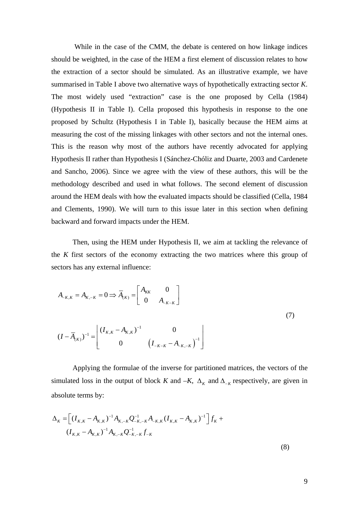While in the case of the CMM, the debate is centered on how linkage indices should be weighted, in the case of the HEM a first element of discussion relates to how the extraction of a sector should be simulated. As an illustrative example, we have summarised in Table I above two alternative ways of hypothetically extracting sector *K*. The most widely used "extraction" case is the one proposed by Cella (1984) (Hypothesis II in Table I). Cella proposed this hypothesis in response to the one proposed by Schultz (Hypothesis I in Table I), basically because the HEM aims at measuring the cost of the missing linkages with other sectors and not the internal ones. This is the reason why most of the authors have recently advocated for applying Hypothesis II rather than Hypothesis I (Sánchez-Chóliz and Duarte, 2003 and Cardenete and Sancho, 2006). Since we agree with the view of these authors, this will be the methodology described and used in what follows. The second element of discussion around the HEM deals with how the evaluated impacts should be classified (Cella, 1984 and Clements, 1990). We will turn to this issue later in this section when defining backward and forward impacts under the HEM.

Then, using the HEM under Hypothesis II, we aim at tackling the relevance of the *K* first sectors of the economy extracting the two matrices where this group of sectors has any external influence:

$$
A_{-K,K} = A_{K,-K} = 0 \Longrightarrow \overline{A}_{(K)} = \begin{bmatrix} A_{KK} & 0 \\ 0 & A_{-K-K} \end{bmatrix}
$$
  

$$
(I - \overline{A}_{(K)})^{-1} = \begin{bmatrix} (I_{K,K} - A_{K,K})^{-1} & 0 \\ 0 & (I_{-K-K} - A_{-K,-K})^{-1} \end{bmatrix}
$$
 (7)

Applying the formulae of the inverse for partitioned matrices, the vectors of the simulated loss in the output of block *K* and  $-K$ ,  $\Delta_K$  and  $\Delta_{-K}$  respectively, are given in absolute terms by:

$$
\Delta_{K} = \left[ (I_{K,K} - A_{K,K})^{-1} A_{K,-K} Q_{-K,-K}^{-1} A_{-K,K} (I_{K,K} - A_{K,K})^{-1} \right] f_{K} +
$$
  

$$
(I_{K,K} - A_{K,K})^{-1} A_{K,-K} Q_{-K,-K}^{-1} f_{-K}
$$
 (8)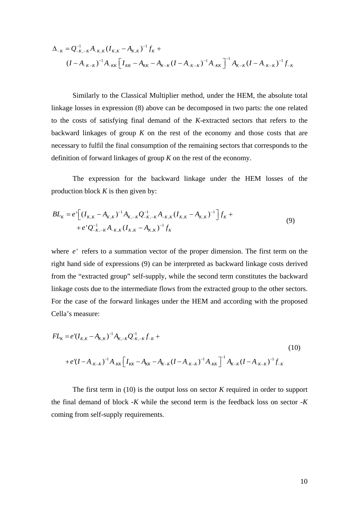$$
\Delta_{-K} = Q_{-K,-K}^{-1} A_{-K,K} (I_{K,K} - A_{K,K})^{-1} f_K +
$$
  

$$
(I - A_{-K-K})^{-1} A_{-KK} [I_{KK} - A_{KK} - A_{K-K} (I - A_{-K-K})^{-1} A_{-KK}]^{-1} A_{K-K} (I - A_{-K-K})^{-1} f_{-K}
$$

Similarly to the Classical Multiplier method, under the HEM, the absolute total linkage losses in expression (8) above can be decomposed in two parts: the one related to the costs of satisfying final demand of the *K*-extracted sectors that refers to the backward linkages of group *K* on the rest of the economy and those costs that are necessary to fulfil the final consumption of the remaining sectors that corresponds to the definition of forward linkages of group *K* on the rest of the economy.

The expression for the backward linkage under the HEM losses of the production block *K* is then given by:

$$
BL_K = e^{\cdot} \Big[ (I_{K,K} - A_{K,K})^{-1} A_{K,-K} Q_{-K,-K}^{-1} A_{-K,K} (I_{K,K} - A_{K,K})^{-1} \Big] f_K +
$$
  
+  $e^{\cdot} Q_{-K,-K}^{-1} A_{-K,K} (I_{K,K} - A_{K,K})^{-1} f_K$  (9)

where *e* refers to a summation vector of the proper dimension. The first term on the right hand side of expressions (9) can be interpreted as backward linkage costs derived from the "extracted group" self-supply, while the second term constitutes the backward linkage costs due to the intermediate flows from the extracted group to the other sectors. For the case of the forward linkages under the HEM and according with the proposed Cella's measure:

$$
FL_{K} = e^{t}(I_{K,K} - A_{K,K})^{-1}A_{K,-K}Q_{-K,-K}^{-1}f_{-K} +
$$
\n
$$
+ e^{t}(I - A_{-K-K})^{-1}A_{-KK}\left[I_{KK} - A_{KK} - A_{K-K}(I - A_{-K-K})^{-1}A_{-KK}\right]^{-1}A_{K-K}(I - A_{-K-K})^{-1}f_{-K}
$$
\n
$$
(10)
$$

The first term in (10) is the output loss on sector *K* required in order to support the final demand of block -*K* while the second term is the feedback loss on sector -*K* coming from self-supply requirements.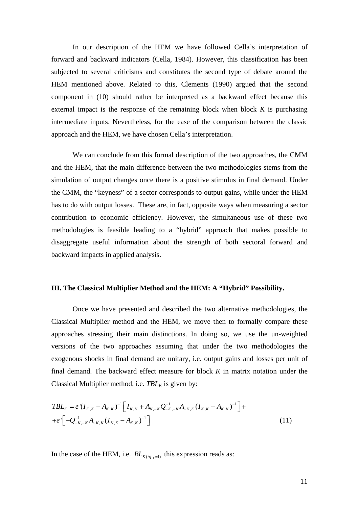In our description of the HEM we have followed Cella's interpretation of forward and backward indicators (Cella, 1984). However, this classification has been subjected to several criticisms and constitutes the second type of debate around the HEM mentioned above. Related to this, Clements (1990) argued that the second component in (10) should rather be interpreted as a backward effect because this external impact is the response of the remaining block when block *K* is purchasing intermediate inputs. Nevertheless, for the ease of the comparison between the classic approach and the HEM, we have chosen Cella's interpretation.

We can conclude from this formal description of the two approaches, the CMM and the HEM, that the main difference between the two methodologies stems from the simulation of output changes once there is a positive stimulus in final demand. Under the CMM, the "keyness" of a sector corresponds to output gains, while under the HEM has to do with output losses. These are, in fact, opposite ways when measuring a sector contribution to economic efficiency. However, the simultaneous use of these two methodologies is feasible leading to a "hybrid" approach that makes possible to disaggregate useful information about the strength of both sectoral forward and backward impacts in applied analysis.

### **III. The Classical Multiplier Method and the HEM: A "Hybrid" Possibility.**

Once we have presented and described the two alternative methodologies, the Classical Multiplier method and the HEM, we move then to formally compare these approaches stressing their main distinctions. In doing so, we use the un-weighted versions of the two approaches assuming that under the two methodologies the exogenous shocks in final demand are unitary, i.e. output gains and losses per unit of final demand. The backward effect measure for block *K* in matrix notation under the Classical Multiplier method, i.e.  $TBL_K$  is given by:

$$
TBL_K = e^{t}(I_{K,K} - A_{K,K})^{-1} \left[ I_{K,K} + A_{K,-K} Q_{-K,-K}^{-1} A_{-K,K} (I_{K,K} - A_{K,K})^{-1} \right] +
$$
  
+
$$
e^{t} \left[ -Q_{-K,-K}^{-1} A_{-K,K} (I_{K,K} - A_{K,K})^{-1} \right]
$$
 (11)

In the case of the HEM, i.e.  $BL_{K(\mathcal{M},=1)}$  this expression reads as: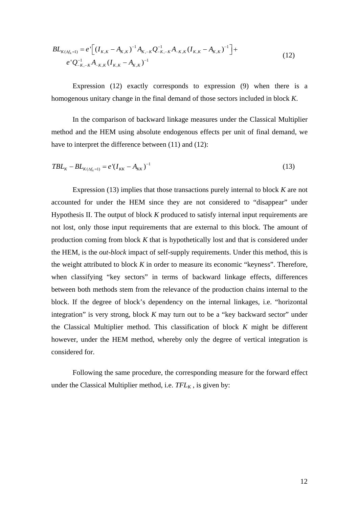$$
BL_{K(\Delta f_k=1)} = e^{\cdot} \Big[ (I_{K,K} - A_{K,K})^{-1} A_{K,-K} Q_{-K,-K}^{-1} A_{-K,K} (I_{K,K} - A_{K,K})^{-1} \Big] +
$$
  
\n
$$
e^{\cdot} Q_{-K,-K}^{-1} A_{-K,K} (I_{K,K} - A_{K,K})^{-1}
$$
\n(12)

Expression (12) exactly corresponds to expression (9) when there is a homogenous unitary change in the final demand of those sectors included in block *K*.

In the comparison of backward linkage measures under the Classical Multiplier method and the HEM using absolute endogenous effects per unit of final demand, we have to interpret the difference between  $(11)$  and  $(12)$ :

$$
TBL_K - BL_{K(\Delta f_k = 1)} = e'(I_{KK} - A_{KK})^{-1}
$$
\n(13)

Expression (13) implies that those transactions purely internal to block *K* are not accounted for under the HEM since they are not considered to "disappear" under Hypothesis II. The output of block *K* produced to satisfy internal input requirements are not lost, only those input requirements that are external to this block. The amount of production coming from block *K* that is hypothetically lost and that is considered under the HEM, is the *out-block* impact of self-supply requirements. Under this method, this is the weight attributed to block *K* in order to measure its economic "keyness". Therefore, when classifying "key sectors" in terms of backward linkage effects, differences between both methods stem from the relevance of the production chains internal to the block. If the degree of block's dependency on the internal linkages, i.e. "horizontal integration" is very strong, block *K* may turn out to be a "key backward sector" under the Classical Multiplier method. This classification of block *K* might be different however, under the HEM method, whereby only the degree of vertical integration is considered for.

Following the same procedure, the corresponding measure for the forward effect under the Classical Multiplier method, i.e.  $TFL_K$ , is given by: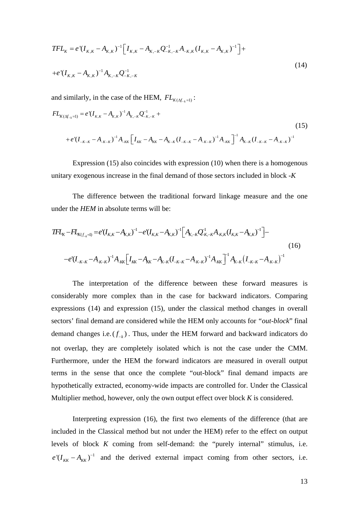$$
TFL_K = e^{t}(I_{K,K} - A_{K,K})^{-1} \Big[ I_{K,K} - A_{K,-K} Q_{-K,-K}^{-1} A_{-K,K} (I_{K,K} - A_{K,K})^{-1} \Big] +
$$
  
+  $e^{t}(I_{K,K} - A_{K,K})^{-1} A_{K,-K} Q_{-K,-K}^{-1}$  (14)

and similarly, in the case of the HEM,  $FL_{K(\Lambda f, \square)}$ :

$$
FL_{K(\Delta f_{-k}=1)} = e^{i}(I_{K,K} - A_{K,K})^{-1}A_{K,-K}Q_{-K,-K}^{-1} +
$$
\n
$$
+ e^{i}(I_{-K-K} - A_{-K-K})^{-1}A_{-KK}\left[I_{KK} - A_{KK} - A_{K-K}(I_{-K-K} - A_{-K-K})^{-1}A_{-KK}\right]^{-1}A_{K-K}(I_{-K-K} - A_{-K-K})^{-1}
$$
\n
$$
(15)
$$

Expression (15) also coincides with expression (10) when there is a homogenous unitary exogenous increase in the final demand of those sectors included in block -*K* 

The difference between the traditional forward linkage measure and the one under the *HEM* in absolute terms will be:

$$
TFL_{K} - FL_{K(f_{-k}=1)} = e^{t}(I_{K,K} - A_{K,K})^{-1} - e^{t}(I_{K,K} - A_{K,K})^{-1} \Big[A_{K,-K}Q_{-K,-K}^{-1}A_{-K,K}(I_{K,K} - A_{K,K})^{-1}\Big] -
$$
\n
$$
-e^{t}(I_{-K-K} - A_{-K-K})^{-1}A_{-KK}\Big[I_{K,K} - A_{K-K} - A_{K-K}(I_{-K-K} - A_{-K-K})^{-1}A_{-KK}\Big]^{-1}A_{K-K}(I_{-K-K} - A_{-K-K})^{-1}
$$
\n
$$
(16)
$$

The interpretation of the difference between these forward measures is considerably more complex than in the case for backward indicators. Comparing expressions (14) and expression (15), under the classical method changes in overall sectors' final demand are considered while the HEM only accounts for *"out-block*" final demand changes i.e.  $(f_{-k})$ . Thus, under the HEM forward and backward indicators do not overlap, they are completely isolated which is not the case under the CMM. Furthermore, under the HEM the forward indicators are measured in overall output terms in the sense that once the complete "out-block" final demand impacts are hypothetically extracted, economy-wide impacts are controlled for. Under the Classical Multiplier method, however, only the own output effect over block *K* is considered.

Interpreting expression (16), the first two elements of the difference (that are included in the Classical method but not under the HEM) refer to the effect on output levels of block *K* coming from self-demand: the "purely internal" stimulus, i.e.  $e^{t}(I_{KK} - A_{KK})^{-1}$  and the derived external impact coming from other sectors, i.e.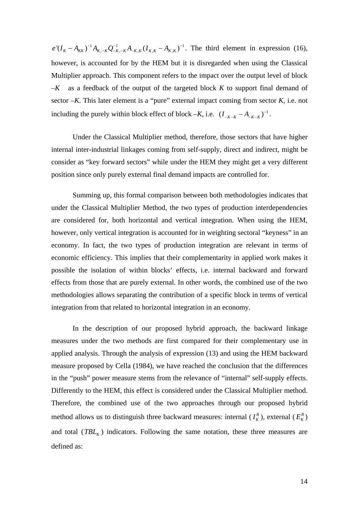$e'(I_K - A_{KK})^{-1}A_{K,-K}Q_{-K,-K}^{-1}A_{-K,K}(I_{K,K} - A_{K,K})^{-1}$ . The third element in expression (16), however, is accounted for by the HEM but it is disregarded when using the Classical Multiplier approach. This component refers to the impact over the output level of block *–K* as a feedback of the output of the targeted block *K* to support final demand of sector *–K*. This later element is a "pure" external impact coming from sector *K*, i.e. not including the purely within block effect of block  $-K$ , i.e.  $(I_{-K-K} - A_{-K-K})^{-1}$ .

Under the Classical Multiplier method, therefore, those sectors that have higher internal inter-industrial linkages coming from self-supply, direct and indirect, might be consider as "key forward sectors" while under the HEM they might get a very different position since only purely external final demand impacts are controlled for.

Summing up, this formal comparison between both methodologies indicates that under the Classical Multiplier Method, the two types of production interdependencies are considered for, both horizontal and vertical integration. When using the HEM, however, only vertical integration is accounted for in weighting sectoral "keyness" in an economy. In fact, the two types of production integration are relevant in terms of economic efficiency. This implies that their complementarity in applied work makes it possible the isolation of within blocks' effects, i.e. internal backward and forward effects from those that are purely external. In other words, the combined use of the two methodologies allows separating the contribution of a specific block in terms of vertical integration from that related to horizontal integration in an economy.

In the description of our proposed hybrid approach, the backward linkage measures under the two methods are first compared for their complementary use in applied analysis. Through the analysis of expression (13) and using the HEM backward measure proposed by Cella (1984), we have reached the conclusion that the differences in the "push" power measure stems from the relevance of "internal" self-supply effects. Differently to the HEM, this effect is considered under the Classical Multiplier method. Therefore, the combined use of the two approaches through our proposed hybrid method allows us to distinguish three backward measures: internal  $(I_K^B)$ , external  $(E_K^B)$ and total ( $TBL<sub>K</sub>$ ) indicators. Following the same notation, these three measures are defined as: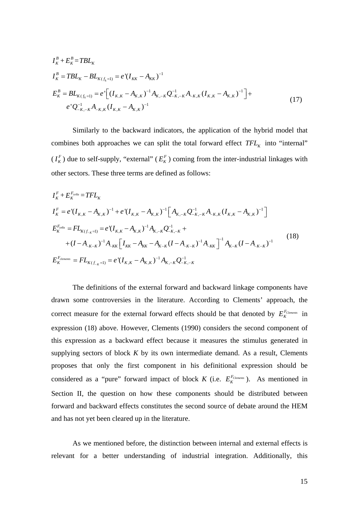$$
I_K^B + E_K^B = TBL_K
$$
  
\n
$$
I_K^B = TBL_K - BL_{K(f_k=1)} = e^{-\frac{1}{2}(I_{KK} - A_{KK})^{-1}}
$$
  
\n
$$
E_K^B = BL_{K(f_k=1)} = e^{-\frac{1}{2}(I_{K,K} - A_{K,K})^{-1}A_{K,-K}Q_{-K,-K}^{-1}A_{-K,K}(I_{K,K} - A_{K,K})^{-1} + e^{-\frac{1}{2}(I_{K,K} - A_{K,K})^{-1}A_{-K,K}(I_{K,K} - A_{K,K})^{-1}}
$$
\n
$$
(17)
$$

Similarly to the backward indicators, the application of the hybrid model that combines both approaches we can split the total forward effect  $TFL_K$  into "internal"  $(I_K^F)$  due to self-supply, "external"  $(E_K^F)$  coming from the inter-industrial linkages with other sectors. These three terms are defined as follows:

$$
I_{K}^{F} + E_{K}^{F_{cella}} = TFL_{K}
$$
\n
$$
I_{K}^{F} = e^{(I_{K,K} - A_{K,K})^{-1} + e^{(I_{K,K} - A_{K,K})^{-1}} \left[ A_{K,-K} Q_{-K,-K}^{-1} A_{K,K} (I_{K,K} - A_{K,K})^{-1} \right]
$$
\n
$$
E_{K}^{F_{cella}} = FL_{K(f_{-K}=1)} = e^{(I_{K,K} - A_{K,K})^{-1}} A_{K,-K} Q_{-K,-K}^{-1} + (I - A_{-K-K})^{-1} A_{-KK} \left[ I_{KK} - A_{KK} - A_{K-K} (I - A_{-K-K})^{-1} A_{-KK} \right]^{-1} A_{K-K} (I - A_{-K-K})^{-1}
$$
\n
$$
E_{K}^{F_{elements}} = FL_{K(f_{-K}=1)} = e^{(I_{K,K} - A_{K,K})^{-1}} A_{K,-K} Q_{-K,-K}^{-1}
$$
\n(18)

The definitions of the external forward and backward linkage components have drawn some controversies in the literature. According to Clements' approach, the correct measure for the external forward effects should be that denoted by *FClements EK* in expression (18) above. However, Clements (1990) considers the second component of this expression as a backward effect because it measures the stimulus generated in supplying sectors of block  $K$  by its own intermediate demand. As a result, Clements proposes that only the first component in his definitional expression should be considered as a "pure" forward impact of block *K* (i.e.  $E_K^{F_{Clements}}$ ). As mentioned in Section II, the question on how these components should be distributed between forward and backward effects constitutes the second source of debate around the HEM and has not yet been cleared up in the literature.

As we mentioned before, the distinction between internal and external effects is relevant for a better understanding of industrial integration. Additionally, this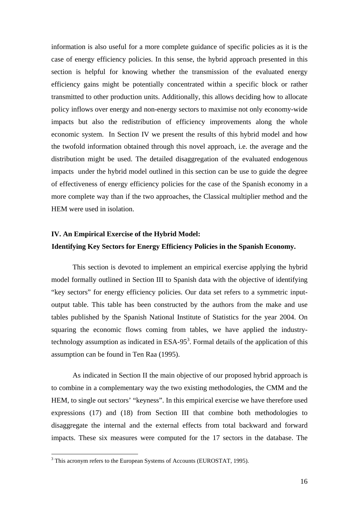information is also useful for a more complete guidance of specific policies as it is the case of energy efficiency policies. In this sense, the hybrid approach presented in this section is helpful for knowing whether the transmission of the evaluated energy efficiency gains might be potentially concentrated within a specific block or rather transmitted to other production units. Additionally, this allows deciding how to allocate policy inflows over energy and non-energy sectors to maximise not only economy-wide impacts but also the redistribution of efficiency improvements along the whole economic system. In Section IV we present the results of this hybrid model and how the twofold information obtained through this novel approach, i.e. the average and the distribution might be used. The detailed disaggregation of the evaluated endogenous impacts under the hybrid model outlined in this section can be use to guide the degree of effectiveness of energy efficiency policies for the case of the Spanish economy in a more complete way than if the two approaches, the Classical multiplier method and the HEM were used in isolation.

# **IV. An Empirical Exercise of the Hybrid Model: Identifying Key Sectors for Energy Efficiency Policies in the Spanish Economy.**

This section is devoted to implement an empirical exercise applying the hybrid model formally outlined in Section III to Spanish data with the objective of identifying "key sectors" for energy efficiency policies. Our data set refers to a symmetric inputoutput table. This table has been constructed by the authors from the make and use tables published by the Spanish National Institute of Statistics for the year 2004. On squaring the economic flows coming from tables, we have applied the industrytechnology assumption as indicated in  $ESA-95<sup>3</sup>$ . Formal details of the application of this assumption can be found in Ten Raa (1995).

As indicated in Section II the main objective of our proposed hybrid approach is to combine in a complementary way the two existing methodologies, the CMM and the HEM, to single out sectors' "keyness". In this empirical exercise we have therefore used expressions (17) and (18) from Section III that combine both methodologies to disaggregate the internal and the external effects from total backward and forward impacts. These six measures were computed for the 17 sectors in the database. The

 $3$  This acronym refers to the European Systems of Accounts (EUROSTAT, 1995).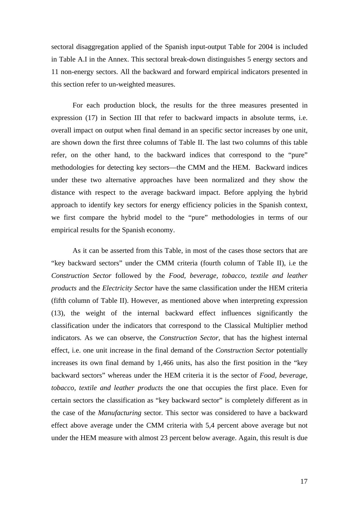sectoral disaggregation applied of the Spanish input-output Table for 2004 is included in Table A.I in the Annex. This sectoral break-down distinguishes 5 energy sectors and 11 non-energy sectors. All the backward and forward empirical indicators presented in this section refer to un-weighted measures.

For each production block, the results for the three measures presented in expression (17) in Section III that refer to backward impacts in absolute terms, i.e. overall impact on output when final demand in an specific sector increases by one unit, are shown down the first three columns of Table II. The last two columns of this table refer, on the other hand, to the backward indices that correspond to the "pure" methodologies for detecting key sectors—the CMM and the HEM. Backward indices under these two alternative approaches have been normalized and they show the distance with respect to the average backward impact. Before applying the hybrid approach to identify key sectors for energy efficiency policies in the Spanish context, we first compare the hybrid model to the "pure" methodologies in terms of our empirical results for the Spanish economy.

As it can be asserted from this Table, in most of the cases those sectors that are "key backward sectors" under the CMM criteria (fourth column of Table II), i.e the *Construction Sector* followed by the *Food, beverage, tobacco, textile and leather products* and the *Electricity Sector* have the same classification under the HEM criteria (fifth column of Table II). However, as mentioned above when interpreting expression (13), the weight of the internal backward effect influences significantly the classification under the indicators that correspond to the Classical Multiplier method indicators. As we can observe, the *Construction Sector,* that has the highest internal effect, i.e. one unit increase in the final demand of the *Construction Sector* potentially increases its own final demand by 1,466 units, has also the first position in the "key backward sectors" whereas under the HEM criteria it is the sector of *Food, beverage, tobacco, textile and leather products* the one that occupies the first place. Even for certain sectors the classification as "key backward sector" is completely different as in the case of the *Manufacturing* sector*.* This sector was considered to have a backward effect above average under the CMM criteria with 5,4 percent above average but not under the HEM measure with almost 23 percent below average. Again, this result is due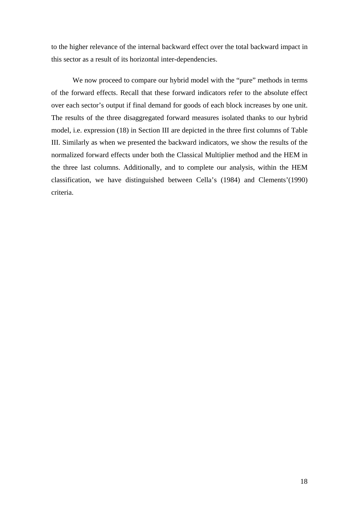to the higher relevance of the internal backward effect over the total backward impact in this sector as a result of its horizontal inter-dependencies.

We now proceed to compare our hybrid model with the "pure" methods in terms of the forward effects. Recall that these forward indicators refer to the absolute effect over each sector's output if final demand for goods of each block increases by one unit. The results of the three disaggregated forward measures isolated thanks to our hybrid model, i.e. expression (18) in Section III are depicted in the three first columns of Table III. Similarly as when we presented the backward indicators, we show the results of the normalized forward effects under both the Classical Multiplier method and the HEM in the three last columns. Additionally, and to complete our analysis, within the HEM classification, we have distinguished between Cella's (1984) and Clements'(1990) criteria.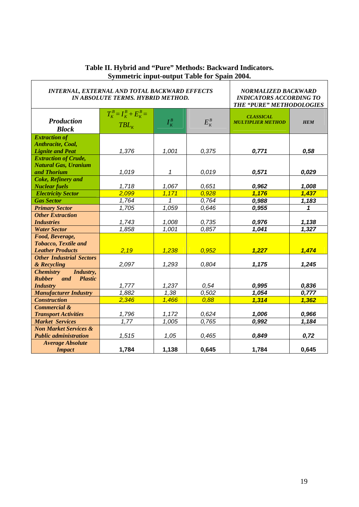| <b>INTERNAL, EXTERNAL AND TOTAL BACKWARD EFFECTS</b><br><b>IN ABSOLUTE TERMS. HYBRID METHOD.</b> |                                        |                |                | NORMALIZED BACKWARD<br><b>INDICATORS ACCORDING TO</b><br>THE "PURE" METHODOLOGIES |                |  |
|--------------------------------------------------------------------------------------------------|----------------------------------------|----------------|----------------|-----------------------------------------------------------------------------------|----------------|--|
| <b>Production</b><br><b>Block</b>                                                                | $T_K^B = I_K^B + E_K^B =$<br>$TBL_{K}$ | $I_K^B$        | $E_K^B$        | <b>CLASSICAL</b><br><b>MULTIPLIER METHOD</b>                                      | <b>HEM</b>     |  |
| <b>Extraction of</b><br><b>Anthracite, Coal,</b><br><b>Lignite and Peat</b>                      | 1,376                                  | 1,001          | 0,375          | 0,771                                                                             | 0,58           |  |
| <b>Extraction of Crude,</b><br><b>Natural Gas, Uranium</b><br>and Thorium                        | 1,019                                  | 1              | 0,019          | 0,571                                                                             | 0,029          |  |
| <b>Coke, Refinery and</b><br><b>Nuclear fuels</b><br><b>Electricity Sector</b>                   | 1,718<br>2,099                         | 1,067<br>1,171 | 0,651<br>0,928 | 0,962<br>1,176                                                                    | 1,008<br>1,437 |  |
| <b>Gas Sector</b>                                                                                | 1,764<br>1,705                         | 1<br>1,059     | 0,764<br>0.646 | 0,988<br>0,955                                                                    | 1,183          |  |
| <b>Primary Sector</b><br><b>Other Extraction</b><br><b>Industries</b>                            | 1,743                                  | 1,008          | 0,735          | 0,976                                                                             | 1<br>1,138     |  |
| <b>Water Sector</b><br>Food, Beverage,                                                           | 1,858                                  | 1,001          | 0.857          | 1,041                                                                             | 1,327          |  |
| <b>Tobacco, Textile and</b><br><b>Leather Products</b>                                           | 2,19                                   | 1,238          | 0,952          | 1,227                                                                             | 1,474          |  |
| <b>Other Industrial Sectors</b><br>& Recycling                                                   | 2,097                                  | 1,293          | 0,804          | 1,175                                                                             | 1,245          |  |
| Industry,<br><i>Chemistry</i><br><b>Rubber</b><br><b>Plastic</b><br>and<br><b>Industry</b>       | 1,777                                  | 1,237          | 0,54           | 0.995                                                                             | 0,836          |  |
| <b>Manufacturer Industry</b>                                                                     | 1,882                                  | 1,38           | 0,502          | 1,054                                                                             | 0,777          |  |
| <b>Construction</b><br><b>Commercial &amp;</b>                                                   | 2,346                                  | 1,466          | 0,88           | 1,314                                                                             | 1,362          |  |
| <b>Transport Activities</b><br><b>Market Services</b>                                            | 1,796<br>1,77                          | 1,172<br>1,005 | 0,624<br>0.765 | 1,006<br>0.992                                                                    | 0,966<br>1,184 |  |
| <b>Non Market Services &amp;</b><br><b>Public administration</b>                                 | 1,515                                  | 1,05           | 0,465          | 0,849                                                                             | 0,72           |  |
| <b>Average Absolute</b><br><b>Impact</b>                                                         | 1,784                                  | 1,138          | 0,645          | 1,784                                                                             | 0,645          |  |

# **Table II. Hybrid and "Pure" Methods: Backward Indicators. Symmetric input-output Table for Spain 2004.**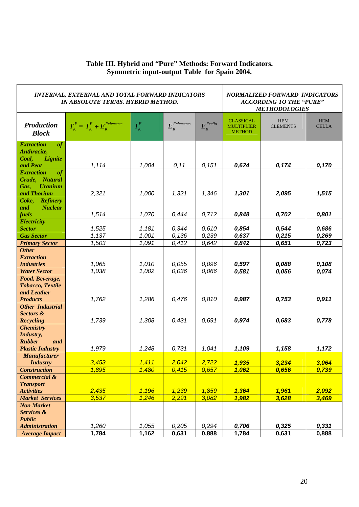# **Table III. Hybrid and "Pure" Methods: Forward Indicators. Symmetric input-output Table for Spain 2004.**

| <b>INTERNAL, EXTERNAL AND TOTAL FORWARD INDICATORS</b><br>IN ABSOLUTE TERMS. HYBRID METHOD. |                                          |                         |                            |                         | <b>NORMALIZED FORWARD INDICATORS</b><br><b>ACCORDING TO THE "PURE"</b><br><b>METHODOLOGIES</b> |                               |                            |  |
|---------------------------------------------------------------------------------------------|------------------------------------------|-------------------------|----------------------------|-------------------------|------------------------------------------------------------------------------------------------|-------------------------------|----------------------------|--|
| <b>Production</b><br><b>Block</b>                                                           | $T_K^F = I_K^F + E_K^{\text{Felements}}$ | $I_K^F$                 | $E_K^{\textit{Felements}}$ | $E_{\kappa}^{Feella}$   | <b>CLASSICAL</b><br><b>MULTIPLIER</b><br><b>METHOD</b>                                         | <b>HEM</b><br><b>CLEMENTS</b> | <b>HEM</b><br><b>CELLA</b> |  |
| <b>Extraction</b><br>of<br>Anthracite,<br>Lignite<br>Coal,<br>and Peat                      | 1,114                                    | 1,004                   | 0, 11                      | 0,151                   | 0,624                                                                                          | 0,174                         | 0,170                      |  |
| <b>Extraction</b><br>of<br>Crude, Natural<br><b>Uranium</b><br>Gas,<br>and Thorium          | 2,321                                    | 1,000                   | 1,321                      | 1,346                   | 1,301                                                                                          | 2,095                         | 1,515                      |  |
| Coke, Refinery<br><b>Nuclear</b><br>and<br>fuels                                            | 1,514                                    | 1,070                   | 0,444                      | 0,712                   | 0,848                                                                                          | 0,702                         | 0,801                      |  |
| <b>Electricity</b><br><b>Sector</b><br><b>Gas Sector</b><br><b>Primary Sector</b>           | 1,525<br>1,137<br>1,503                  | 1,181<br>1,001<br>1,091 | 0,344<br>0,136<br>0,412    | 0,610<br>0,239<br>0,642 | 0,854<br>0,637<br>0,842                                                                        | 0,544<br>0,215<br>0,651       | 0,686<br>0,269<br>0,723    |  |
| <b>Other</b><br><b>Extraction</b><br><b>Industries</b>                                      | 1,065<br>1.038                           | 1,010<br>1,002          | 0,055                      | 0,096                   | 0,597                                                                                          | 0,088                         | 0,108                      |  |
| <b>Water Sector</b><br>Food, Beverage,<br><b>Tobacco, Textile</b><br>and Leather            |                                          |                         | 0,036                      | 0,066                   | 0,581                                                                                          | 0,056                         | 0,074                      |  |
| <b>Products</b><br><b>Other Industrial</b><br>Sectors &<br>Recycling                        | 1,762<br>1,739                           | 1,286<br>1,308          | 0,476<br>0,431             | 0,810<br>0,691          | 0,987<br>0,974                                                                                 | 0,753<br>0,683                | 0,911<br>0,778             |  |
| <b>Chemistry</b><br>Industry,<br><b>Rubber</b><br>and<br><b>Plastic Industry</b>            | 1,979                                    | 1,248                   | 0,731                      | 1,041                   | 1,109                                                                                          | 1,158                         | 1,172                      |  |
| <b>Manufacturer</b><br><b>Industry</b><br><b>Construction</b>                               | 3,453<br>1,895                           | 1,411<br>1,480          | 2,042<br>0,415             | 2,722<br>0,657          | 1,935<br>1,062                                                                                 | 3,234<br>0,656                | 3,064<br>0,739             |  |
| Commercial &<br><b>Transport</b><br><b>Activities</b>                                       | 2,435<br>3,537                           | 1,196<br>1,246          | 1,239<br>2,291             | 1,859<br>3,082          | 1,364<br>1,982                                                                                 | 1,961<br>3,628                | 2,092                      |  |
| <b>Market Services</b><br><b>Non Market</b><br>Services &<br><b>Public</b>                  |                                          |                         |                            |                         |                                                                                                |                               | 3,469                      |  |
| <b>Administration</b><br><b>Average Impact</b>                                              | 1,260<br>1,784                           | 1,055<br>1,162          | 0,205<br>0,631             | 0,294<br>0,888          | 0,706<br>1,784                                                                                 | 0,325<br>0,631                | 0,331<br>0,888             |  |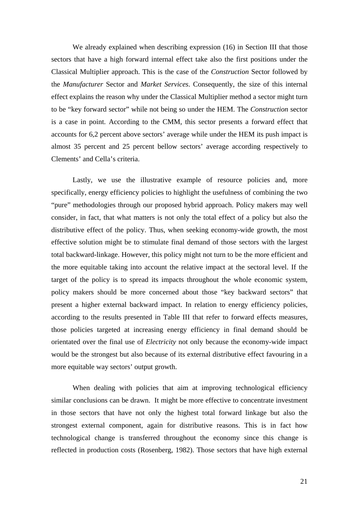We already explained when describing expression (16) in Section III that those sectors that have a high forward internal effect take also the first positions under the Classical Multiplier approach. This is the case of the *Construction* Sector followed by the *Manufacturer* Sector and *Market Services*. Consequently, the size of this internal effect explains the reason why under the Classical Multiplier method a sector might turn to be "key forward sector" while not being so under the HEM. The *Construction* sector is a case in point. According to the CMM, this sector presents a forward effect that accounts for 6,2 percent above sectors' average while under the HEM its push impact is almost 35 percent and 25 percent bellow sectors' average according respectively to Clements' and Cella's criteria.

Lastly, we use the illustrative example of resource policies and, more specifically, energy efficiency policies to highlight the usefulness of combining the two "pure" methodologies through our proposed hybrid approach. Policy makers may well consider, in fact, that what matters is not only the total effect of a policy but also the distributive effect of the policy. Thus, when seeking economy-wide growth, the most effective solution might be to stimulate final demand of those sectors with the largest total backward-linkage. However, this policy might not turn to be the more efficient and the more equitable taking into account the relative impact at the sectoral level. If the target of the policy is to spread its impacts throughout the whole economic system, policy makers should be more concerned about those "key backward sectors" that present a higher external backward impact. In relation to energy efficiency policies, according to the results presented in Table III that refer to forward effects measures, those policies targeted at increasing energy efficiency in final demand should be orientated over the final use of *Electricity* not only because the economy-wide impact would be the strongest but also because of its external distributive effect favouring in a more equitable way sectors' output growth.

When dealing with policies that aim at improving technological efficiency similar conclusions can be drawn. It might be more effective to concentrate investment in those sectors that have not only the highest total forward linkage but also the strongest external component, again for distributive reasons. This is in fact how technological change is transferred throughout the economy since this change is reflected in production costs (Rosenberg, 1982). Those sectors that have high external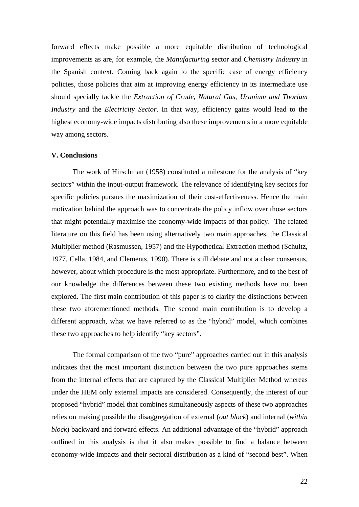forward effects make possible a more equitable distribution of technological improvements as are, for example, the *Manufacturing* sector and *Chemistry Industry* in the Spanish context. Coming back again to the specific case of energy efficiency policies, those policies that aim at improving energy efficiency in its intermediate use should specially tackle the *Extraction of Crude, Natural Gas, Uranium and Thorium Industry* and the *Electricity Sector*. In that way, efficiency gains would lead to the highest economy-wide impacts distributing also these improvements in a more equitable way among sectors.

#### **V. Conclusions**

The work of Hirschman (1958) constituted a milestone for the analysis of "key sectors" within the input-output framework. The relevance of identifying key sectors for specific policies pursues the maximization of their cost-effectiveness. Hence the main motivation behind the approach was to concentrate the policy inflow over those sectors that might potentially maximise the economy-wide impacts of that policy. The related literature on this field has been using alternatively two main approaches, the Classical Multiplier method (Rasmussen, 1957) and the Hypothetical Extraction method (Schultz, 1977, Cella, 1984, and Clements, 1990). There is still debate and not a clear consensus, however, about which procedure is the most appropriate. Furthermore, and to the best of our knowledge the differences between these two existing methods have not been explored. The first main contribution of this paper is to clarify the distinctions between these two aforementioned methods. The second main contribution is to develop a different approach, what we have referred to as the "hybrid" model, which combines these two approaches to help identify "key sectors".

The formal comparison of the two "pure" approaches carried out in this analysis indicates that the most important distinction between the two pure approaches stems from the internal effects that are captured by the Classical Multiplier Method whereas under the HEM only external impacts are considered. Consequently, the interest of our proposed "hybrid" model that combines simultaneously aspects of these two approaches relies on making possible the disaggregation of external (*out block*) and internal (*within block*) backward and forward effects. An additional advantage of the "hybrid" approach outlined in this analysis is that it also makes possible to find a balance between economy-wide impacts and their sectoral distribution as a kind of "second best". When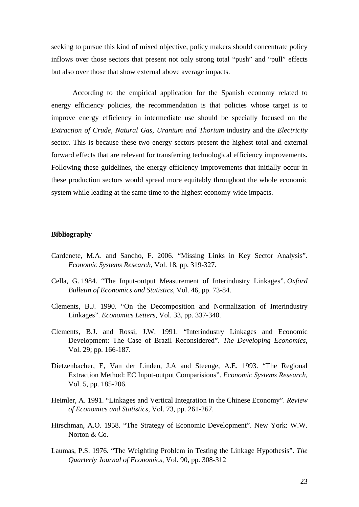seeking to pursue this kind of mixed objective, policy makers should concentrate policy inflows over those sectors that present not only strong total "push" and "pull" effects but also over those that show external above average impacts.

According to the empirical application for the Spanish economy related to energy efficiency policies, the recommendation is that policies whose target is to improve energy efficiency in intermediate use should be specially focused on the *Extraction of Crude, Natural Gas, Uranium and Thorium* industry and the *Electricity* sector. This is because these two energy sectors present the highest total and external forward effects that are relevant for transferring technological efficiency improvements**.**  Following these guidelines, the energy efficiency improvements that initially occur in these production sectors would spread more equitably throughout the whole economic system while leading at the same time to the highest economy-wide impacts.

## **Bibliography**

- Cardenete, M.A. and Sancho, F. 2006. "Missing Links in Key Sector Analysis". *Economic Systems Research*, Vol. 18, pp. 319-327.
- Cella, G. 1984. "The Input-output Measurement of Interindustry Linkages". *Oxford Bulletin of Economics and Statistics*, Vol. 46, pp. 73-84.
- Clements, B.J. 1990. "On the Decomposition and Normalization of Interindustry Linkages". *Economics Letters*, Vol. 33, pp. 337-340.
- Clements, B.J. and Rossi, J.W. 1991. "Interindustry Linkages and Economic Development: The Case of Brazil Reconsidered". *The Developing Economics*, Vol. 29; pp. 166-187.
- Dietzenbacher, E, Van der Linden, J.A and Steenge, A.E. 1993. "The Regional Extraction Method: EC Input-output Comparisions". *Economic Systems Research*, Vol. 5, pp. 185-206.
- Heimler, A. 1991. "Linkages and Vertical Integration in the Chinese Economy". *Review of Economics and Statistics*, Vol. 73, pp. 261-267.
- Hirschman, A.O. 1958. "The Strategy of Economic Development". New York: W.W. Norton & Co.
- Laumas, P.S. 1976. "The Weighting Problem in Testing the Linkage Hypothesis". *The Quarterly Journal of Economics*, Vol. 90, pp. 308-312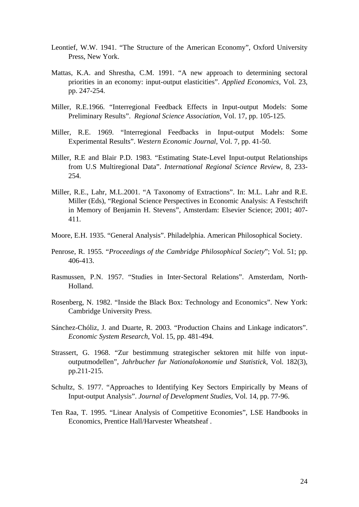- Leontief, W.W. 1941. "The Structure of the American Economy", Oxford University Press, New York.
- Mattas, K.A. and Shrestha, C.M. 1991. "A new approach to determining sectoral priorities in an economy: input-output elasticities". *Applied Economics*, Vol. 23, pp. 247-254.
- Miller, R.E.1966. "Interregional Feedback Effects in Input-output Models: Some Preliminary Results". *Regional Science Association*, Vol. 17, pp. 105-125.
- Miller, R.E. 1969. "Interregional Feedbacks in Input-output Models: Some Experimental Results". *Western Economic Journal*, Vol. 7, pp. 41-50.
- Miller, R.E and Blair P.D. 1983. "Estimating State-Level Input-output Relationships from U.S Multiregional Data". *International Regional Science Review*, 8, 233- 254.
- Miller, R.E., Lahr, M.L.2001. "A Taxonomy of Extractions". In: M.L. Lahr and R.E. Miller (Eds), "Regional Science Perspectives in Economic Analysis: A Festschrift in Memory of Benjamin H. Stevens", Amsterdam: Elsevier Science; 2001; 407- 411.
- Moore, E.H. 1935. "General Analysis". Philadelphia. American Philosophical Society.
- Penrose, R. 1955. "*Proceedings of the Cambridge Philosophical Society*"; Vol. 51; pp. 406-413.
- Rasmussen, P.N. 1957. "Studies in Inter-Sectoral Relations". Amsterdam, North-Holland.
- Rosenberg, N. 1982. "Inside the Black Box: Technology and Economics". New York: Cambridge University Press.
- Sánchez-Chóliz, J. and Duarte, R. 2003. "Production Chains and Linkage indicators". *Economic System Research*, Vol. 15, pp. 481-494.
- Strassert, G. 1968. "Zur bestimmung strategischer sektoren mit hilfe von inputoutputmodellen", *Jahrbucher fur Nationalokonomie und Statistick*, Vol. 182(3), pp.211-215.
- Schultz, S. 1977. "Approaches to Identifying Key Sectors Empirically by Means of Input-output Analysis". *Journal of Development Studies*, Vol. 14, pp. 77-96.
- Ten Raa, T. 1995. "Linear Analysis of Competitive Economies", LSE Handbooks in Economics, Prentice Hall/Harvester Wheatsheaf .